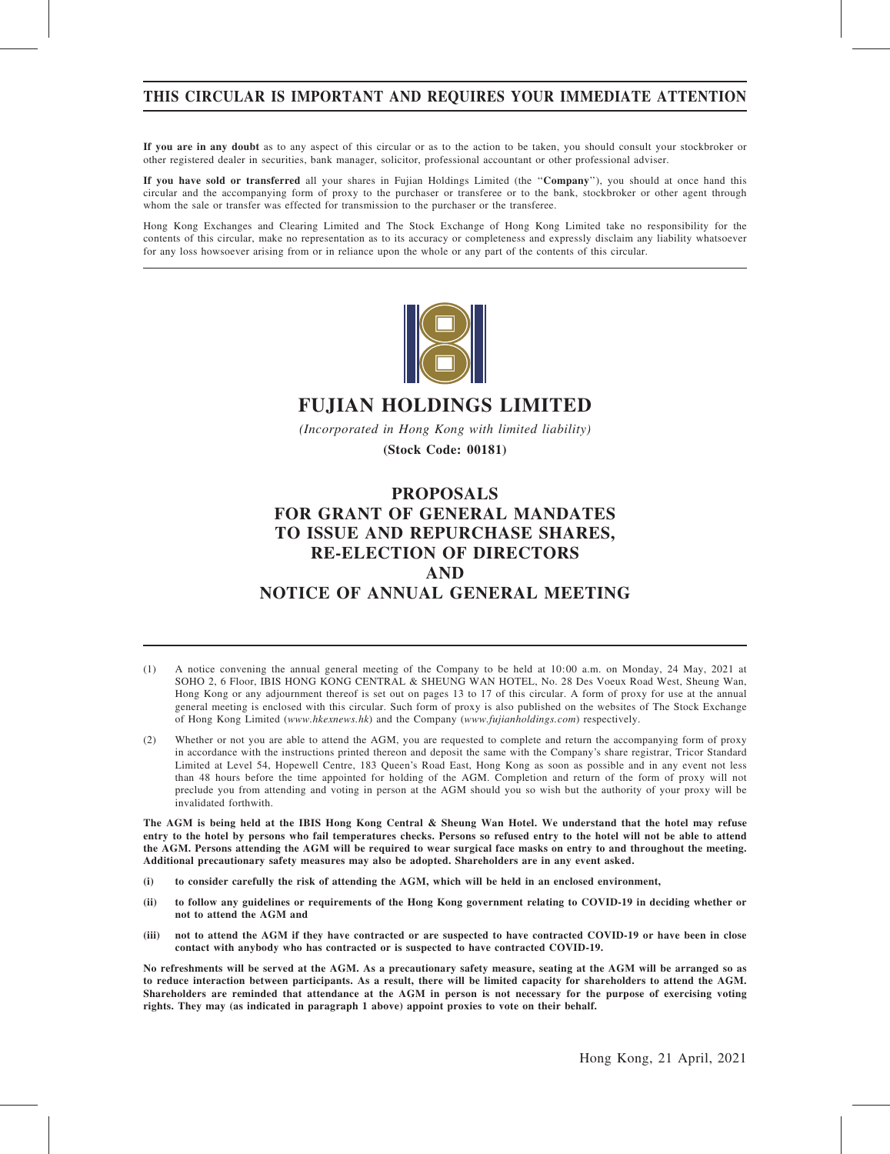# THIS CIRCULAR IS IMPORTANT AND REQUIRES YOUR IMMEDIATE ATTENTION

If you are in any doubt as to any aspect of this circular or as to the action to be taken, you should consult your stockbroker or other registered dealer in securities, bank manager, solicitor, professional accountant or other professional adviser.

If you have sold or transferred all your shares in Fujian Holdings Limited (the ''Company''), you should at once hand this circular and the accompanying form of proxy to the purchaser or transferee or to the bank, stockbroker or other agent through whom the sale or transfer was effected for transmission to the purchaser or the transferee.

Hong Kong Exchanges and Clearing Limited and The Stock Exchange of Hong Kong Limited take no responsibility for the contents of this circular, make no representation as to its accuracy or completeness and expressly disclaim any liability whatsoever for any loss howsoever arising from or in reliance upon the whole or any part of the contents of this circular.



# FUJIAN HOLDINGS LIMITED

(Incorporated in Hong Kong with limited liability)

(Stock Code: 00181)

# PROPOSALS FOR GRANT OF GENERAL MANDATES TO ISSUE AND REPURCHASE SHARES, RE-ELECTION OF DIRECTORS AND NOTICE OF ANNUAL GENERAL MEETING

- (1) A notice convening the annual general meeting of the Company to be held at 10:00 a.m. on Monday, 24 May, 2021 at SOHO 2, 6 Floor, IBIS HONG KONG CENTRAL & SHEUNG WAN HOTEL, No. 28 Des Voeux Road West, Sheung Wan, Hong Kong or any adjournment thereof is set out on pages 13 to 17 of this circular. A form of proxy for use at the annual general meeting is enclosed with this circular. Such form of proxy is also published on the websites of The Stock Exchange of Hong Kong Limited (www.hkexnews.hk) and the Company (www.fujianholdings.com) respectively.
- (2) Whether or not you are able to attend the AGM, you are requested to complete and return the accompanying form of proxy in accordance with the instructions printed thereon and deposit the same with the Company's share registrar, Tricor Standard Limited at Level 54, Hopewell Centre, 183 Queen's Road East, Hong Kong as soon as possible and in any event not less than 48 hours before the time appointed for holding of the AGM. Completion and return of the form of proxy will not preclude you from attending and voting in person at the AGM should you so wish but the authority of your proxy will be invalidated forthwith.

The AGM is being held at the IBIS Hong Kong Central & Sheung Wan Hotel. We understand that the hotel may refuse entry to the hotel by persons who fail temperatures checks. Persons so refused entry to the hotel will not be able to attend the AGM. Persons attending the AGM will be required to wear surgical face masks on entry to and throughout the meeting. Additional precautionary safety measures may also be adopted. Shareholders are in any event asked.

- (i) to consider carefully the risk of attending the AGM, which will be held in an enclosed environment,
- (ii) to follow any guidelines or requirements of the Hong Kong government relating to COVID-19 in deciding whether or not to attend the AGM and
- (iii) not to attend the AGM if they have contracted or are suspected to have contracted COVID-19 or have been in close contact with anybody who has contracted or is suspected to have contracted COVID-19.

No refreshments will be served at the AGM. As a precautionary safety measure, seating at the AGM will be arranged so as to reduce interaction between participants. As a result, there will be limited capacity for shareholders to attend the AGM. Shareholders are reminded that attendance at the AGM in person is not necessary for the purpose of exercising voting rights. They may (as indicated in paragraph 1 above) appoint proxies to vote on their behalf.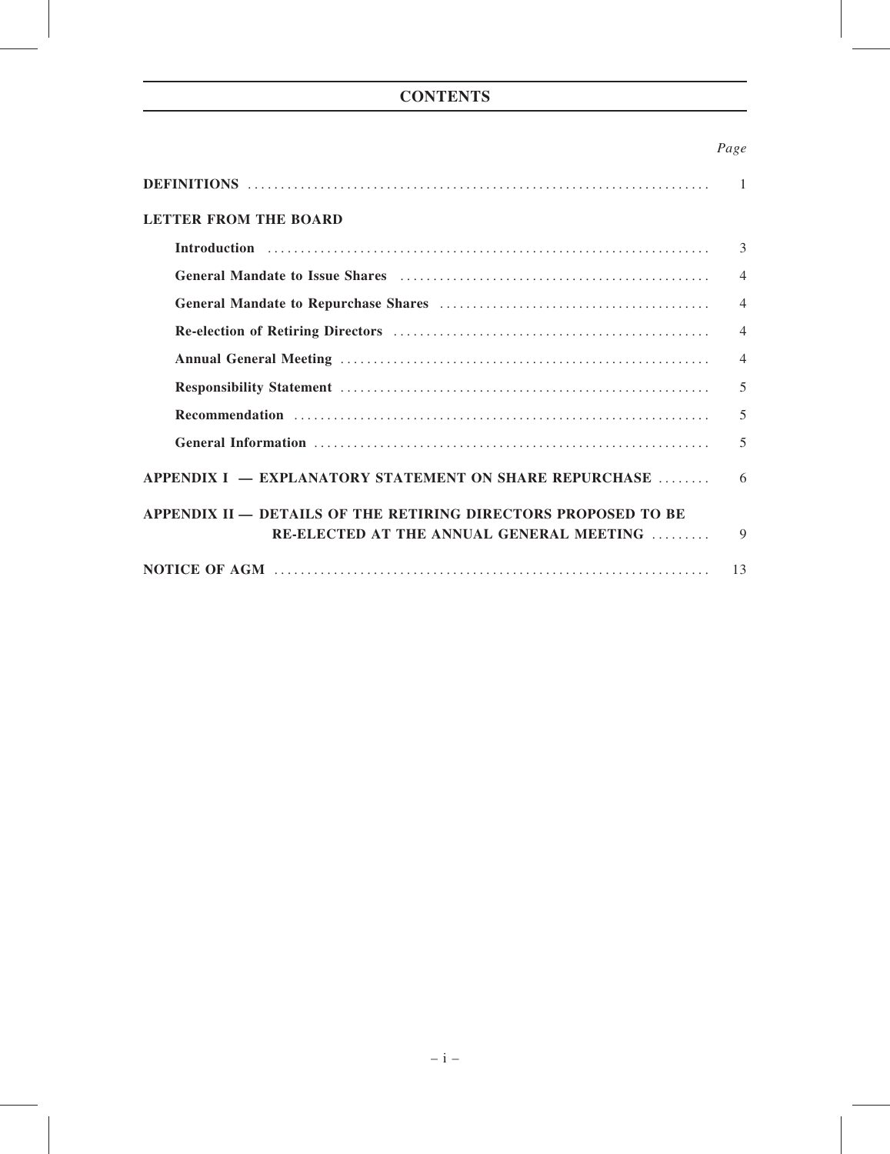# **CONTENTS**

# Page

| <b>LETTER FROM THE BOARD</b>                                                                                                                                                                                                   |                |  |  |
|--------------------------------------------------------------------------------------------------------------------------------------------------------------------------------------------------------------------------------|----------------|--|--|
|                                                                                                                                                                                                                                | 3              |  |  |
| General Mandate to Issue Shares (and the context of the Shares Shares Shares Shares Shares Shares Shares Shares Shares Shares Shares Shares Shares Shares Shares Shares Shares Shares Shares Shares Shares Shares Shares Share | $\overline{4}$ |  |  |
|                                                                                                                                                                                                                                | $\overline{4}$ |  |  |
|                                                                                                                                                                                                                                | $\overline{4}$ |  |  |
|                                                                                                                                                                                                                                | $\overline{4}$ |  |  |
|                                                                                                                                                                                                                                | 5              |  |  |
|                                                                                                                                                                                                                                | 5              |  |  |
|                                                                                                                                                                                                                                | 5              |  |  |
| APPENDIX I – EXPLANATORY STATEMENT ON SHARE REPURCHASE                                                                                                                                                                         | 6              |  |  |
| APPENDIX II - DETAILS OF THE RETIRING DIRECTORS PROPOSED TO BE                                                                                                                                                                 |                |  |  |
| RE-ELECTED AT THE ANNUAL GENERAL MEETING                                                                                                                                                                                       | $\mathbf Q$    |  |  |
|                                                                                                                                                                                                                                | 13             |  |  |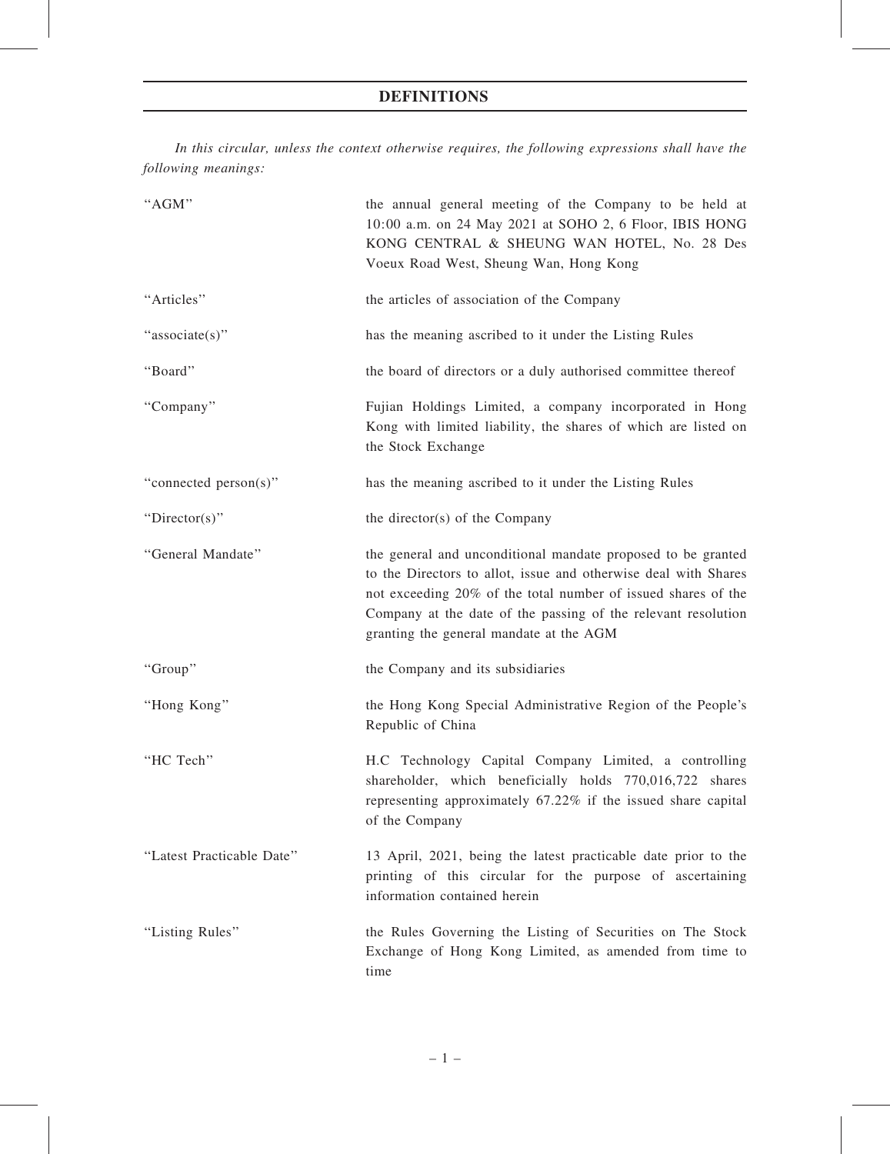# DEFINITIONS

In this circular, unless the context otherwise requires, the following expressions shall have the following meanings:

| "AGM"                     | the annual general meeting of the Company to be held at<br>10:00 a.m. on 24 May 2021 at SOHO 2, 6 Floor, IBIS HONG<br>KONG CENTRAL & SHEUNG WAN HOTEL, No. 28 Des<br>Voeux Road West, Sheung Wan, Hong Kong                                                                                                  |
|---------------------------|--------------------------------------------------------------------------------------------------------------------------------------------------------------------------------------------------------------------------------------------------------------------------------------------------------------|
| "Articles"                | the articles of association of the Company                                                                                                                                                                                                                                                                   |
| "associate(s)"            | has the meaning ascribed to it under the Listing Rules                                                                                                                                                                                                                                                       |
| "Board"                   | the board of directors or a duly authorised committee thereof                                                                                                                                                                                                                                                |
| "Company"                 | Fujian Holdings Limited, a company incorporated in Hong<br>Kong with limited liability, the shares of which are listed on<br>the Stock Exchange                                                                                                                                                              |
| "connected person(s)"     | has the meaning ascribed to it under the Listing Rules                                                                                                                                                                                                                                                       |
| "Director(s)"             | the director(s) of the Company                                                                                                                                                                                                                                                                               |
| "General Mandate"         | the general and unconditional mandate proposed to be granted<br>to the Directors to allot, issue and otherwise deal with Shares<br>not exceeding 20% of the total number of issued shares of the<br>Company at the date of the passing of the relevant resolution<br>granting the general mandate at the AGM |
| "Group"                   | the Company and its subsidiaries                                                                                                                                                                                                                                                                             |
| "Hong Kong"               | the Hong Kong Special Administrative Region of the People's<br>Republic of China                                                                                                                                                                                                                             |
| "HC Tech"                 | H.C Technology Capital Company Limited, a controlling<br>shareholder, which beneficially holds 770,016,722 shares<br>representing approximately 67.22% if the issued share capital<br>of the Company                                                                                                         |
| "Latest Practicable Date" | 13 April, 2021, being the latest practicable date prior to the<br>printing of this circular for the purpose of ascertaining<br>information contained herein                                                                                                                                                  |
| "Listing Rules"           | the Rules Governing the Listing of Securities on The Stock<br>Exchange of Hong Kong Limited, as amended from time to<br>time                                                                                                                                                                                 |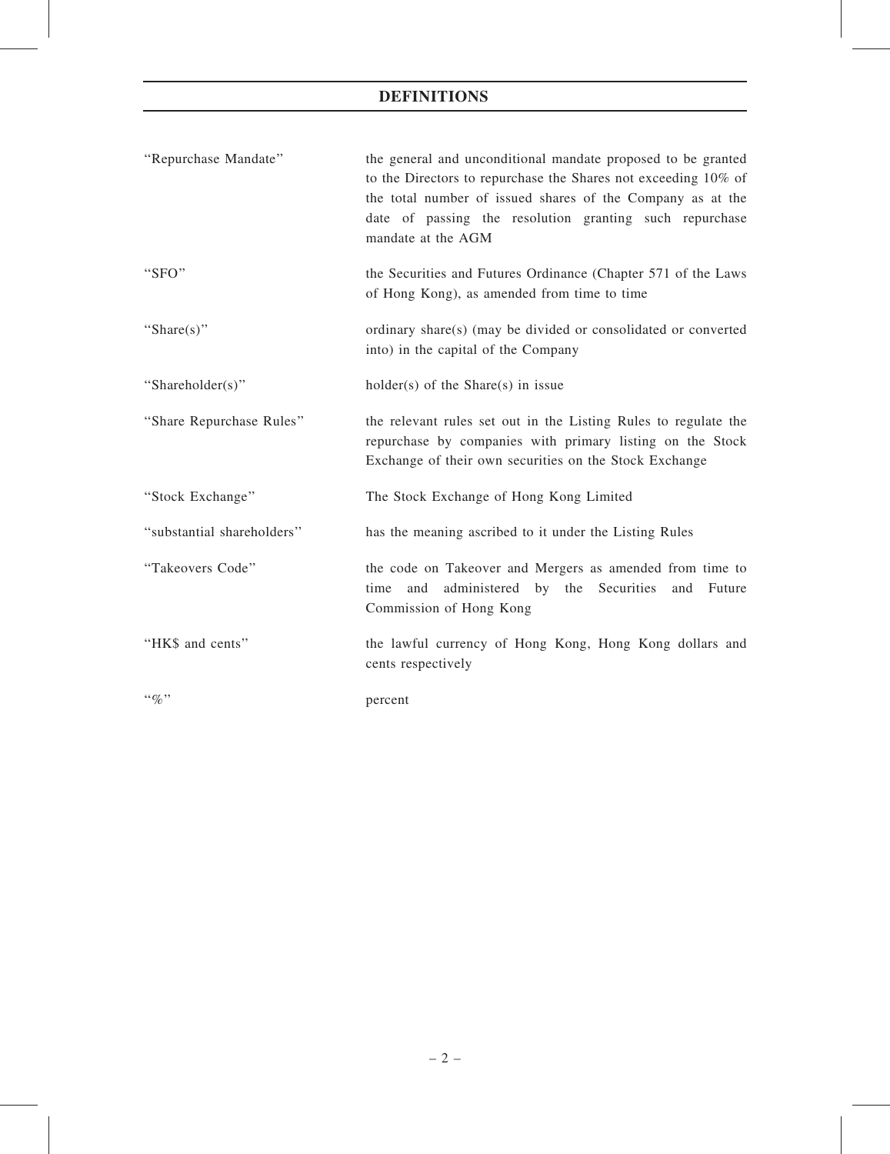# DEFINITIONS

| "Repurchase Mandate"       | the general and unconditional mandate proposed to be granted<br>to the Directors to repurchase the Shares not exceeding 10% of<br>the total number of issued shares of the Company as at the<br>date of passing the resolution granting such repurchase<br>mandate at the AGM |
|----------------------------|-------------------------------------------------------------------------------------------------------------------------------------------------------------------------------------------------------------------------------------------------------------------------------|
| "SFO"                      | the Securities and Futures Ordinance (Chapter 571 of the Laws<br>of Hong Kong), as amended from time to time                                                                                                                                                                  |
| "Share $(s)$ "             | ordinary share(s) (may be divided or consolidated or converted<br>into) in the capital of the Company                                                                                                                                                                         |
| "Shareholder(s)"           | $holder(s)$ of the Share(s) in issue                                                                                                                                                                                                                                          |
| "Share Repurchase Rules"   | the relevant rules set out in the Listing Rules to regulate the<br>repurchase by companies with primary listing on the Stock<br>Exchange of their own securities on the Stock Exchange                                                                                        |
| "Stock Exchange"           | The Stock Exchange of Hong Kong Limited                                                                                                                                                                                                                                       |
| "substantial shareholders" | has the meaning ascribed to it under the Listing Rules                                                                                                                                                                                                                        |
| "Takeovers Code"           | the code on Takeover and Mergers as amended from time to<br>and administered by the Securities<br>time<br>and<br>Future<br>Commission of Hong Kong                                                                                                                            |
| "HK\$ and cents"           | the lawful currency of Hong Kong, Hong Kong dollars and<br>cents respectively                                                                                                                                                                                                 |
| $\lq q_0$ "                | percent                                                                                                                                                                                                                                                                       |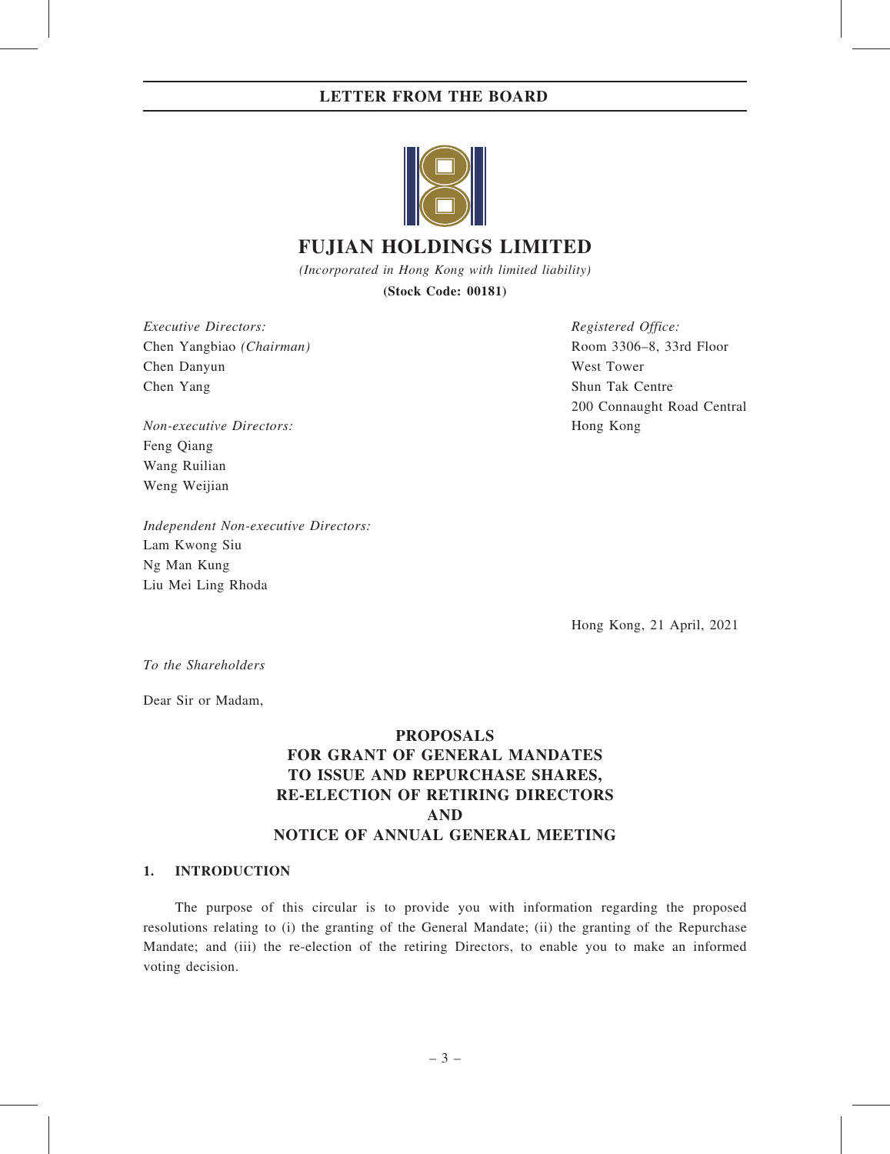# LETTER FROM THE BOARD



# FUJIAN HOLDINGS LIMITED

(Incorporated in Hong Kong with limited liability) (Stock Code: 00181)

Executive Directors: Chen Yangbiao (Chairman) Chen Danyun Chen Yang

Non-executive Directors: Feng Qiang Wang Ruilian Weng Weijian

Independent Non-executive Directors: Lam Kwong Siu Ng Man Kung Liu Mei Ling Rhoda

Registered Office: Room 3306–8, 33rd Floor West Tower Shun Tak Centre 200 Connaught Road Central Hong Kong

Hong Kong, 21 April, 2021

To the Shareholders

Dear Sir or Madam,

# PROPOSALS FOR GRANT OF GENERAL MANDATES TO ISSUE AND REPURCHASE SHARES, RE-ELECTION OF RETIRING DIRECTORS AND NOTICE OF ANNUAL GENERAL MEETING

## 1. INTRODUCTION

The purpose of this circular is to provide you with information regarding the proposed resolutions relating to (i) the granting of the General Mandate; (ii) the granting of the Repurchase Mandate; and (iii) the re-election of the retiring Directors, to enable you to make an informed voting decision.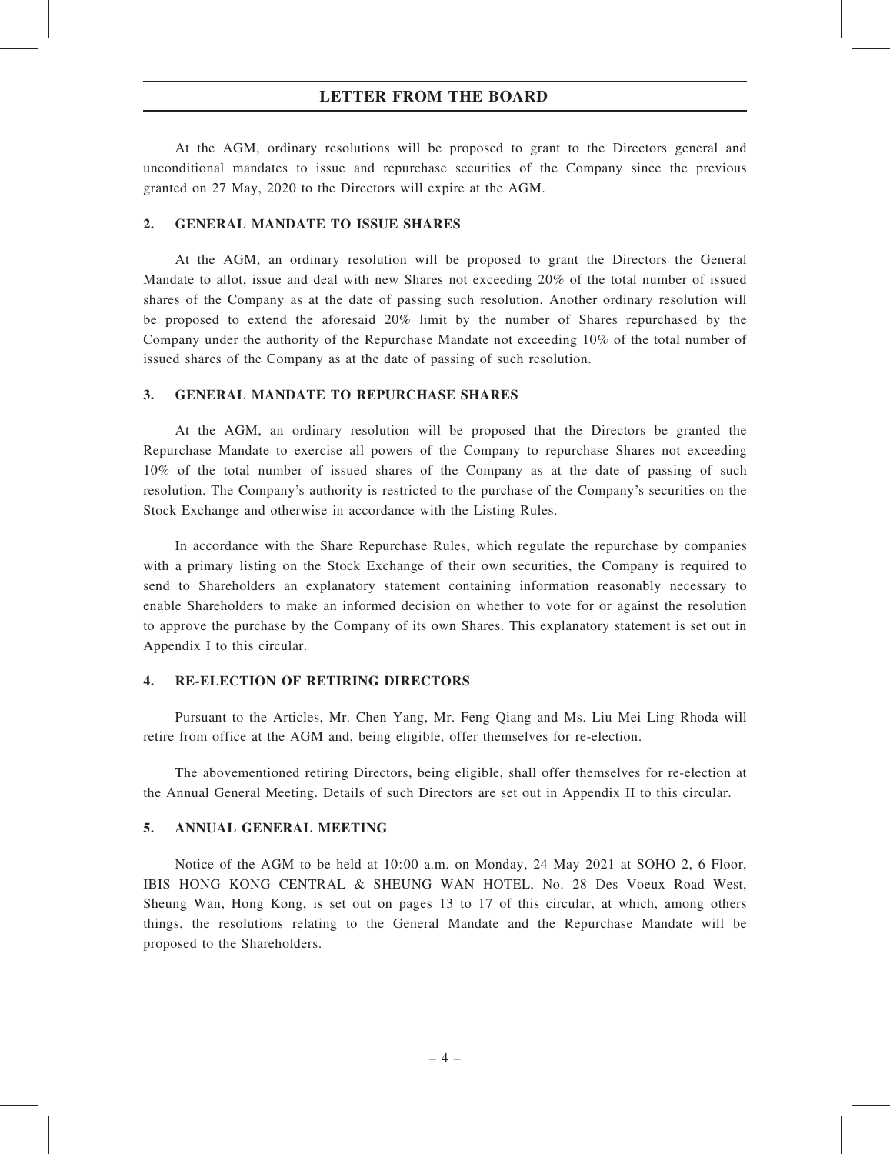## LETTER FROM THE BOARD

At the AGM, ordinary resolutions will be proposed to grant to the Directors general and unconditional mandates to issue and repurchase securities of the Company since the previous granted on 27 May, 2020 to the Directors will expire at the AGM.

#### 2. GENERAL MANDATE TO ISSUE SHARES

At the AGM, an ordinary resolution will be proposed to grant the Directors the General Mandate to allot, issue and deal with new Shares not exceeding 20% of the total number of issued shares of the Company as at the date of passing such resolution. Another ordinary resolution will be proposed to extend the aforesaid 20% limit by the number of Shares repurchased by the Company under the authority of the Repurchase Mandate not exceeding 10% of the total number of issued shares of the Company as at the date of passing of such resolution.

#### 3. GENERAL MANDATE TO REPURCHASE SHARES

At the AGM, an ordinary resolution will be proposed that the Directors be granted the Repurchase Mandate to exercise all powers of the Company to repurchase Shares not exceeding 10% of the total number of issued shares of the Company as at the date of passing of such resolution. The Company's authority is restricted to the purchase of the Company's securities on the Stock Exchange and otherwise in accordance with the Listing Rules.

In accordance with the Share Repurchase Rules, which regulate the repurchase by companies with a primary listing on the Stock Exchange of their own securities, the Company is required to send to Shareholders an explanatory statement containing information reasonably necessary to enable Shareholders to make an informed decision on whether to vote for or against the resolution to approve the purchase by the Company of its own Shares. This explanatory statement is set out in Appendix I to this circular.

## 4. RE-ELECTION OF RETIRING DIRECTORS

Pursuant to the Articles, Mr. Chen Yang, Mr. Feng Qiang and Ms. Liu Mei Ling Rhoda will retire from office at the AGM and, being eligible, offer themselves for re-election.

The abovementioned retiring Directors, being eligible, shall offer themselves for re-election at the Annual General Meeting. Details of such Directors are set out in Appendix II to this circular.

## 5. ANNUAL GENERAL MEETING

Notice of the AGM to be held at 10:00 a.m. on Monday, 24 May 2021 at SOHO 2, 6 Floor, IBIS HONG KONG CENTRAL & SHEUNG WAN HOTEL, No. 28 Des Voeux Road West, Sheung Wan, Hong Kong, is set out on pages 13 to 17 of this circular, at which, among others things, the resolutions relating to the General Mandate and the Repurchase Mandate will be proposed to the Shareholders.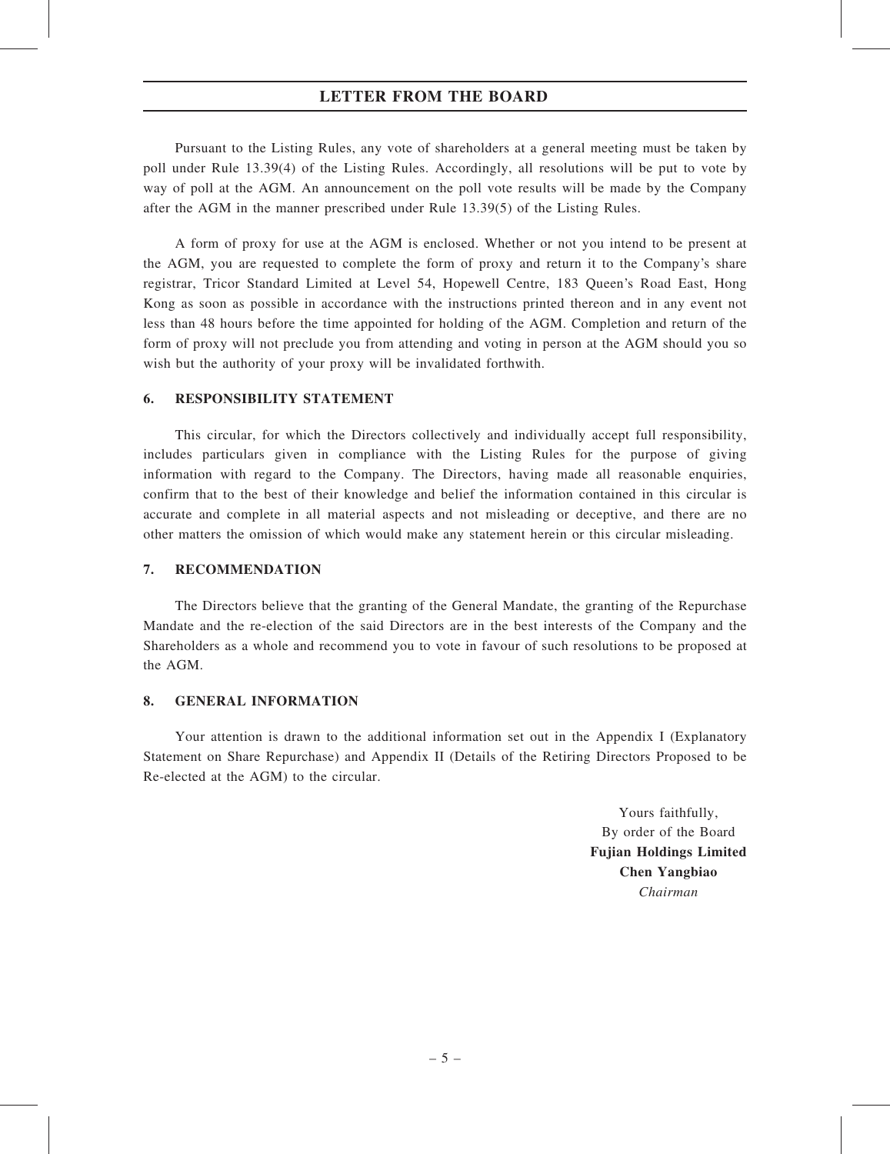# LETTER FROM THE BOARD

Pursuant to the Listing Rules, any vote of shareholders at a general meeting must be taken by poll under Rule 13.39(4) of the Listing Rules. Accordingly, all resolutions will be put to vote by way of poll at the AGM. An announcement on the poll vote results will be made by the Company after the AGM in the manner prescribed under Rule 13.39(5) of the Listing Rules.

A form of proxy for use at the AGM is enclosed. Whether or not you intend to be present at the AGM, you are requested to complete the form of proxy and return it to the Company's share registrar, Tricor Standard Limited at Level 54, Hopewell Centre, 183 Queen's Road East, Hong Kong as soon as possible in accordance with the instructions printed thereon and in any event not less than 48 hours before the time appointed for holding of the AGM. Completion and return of the form of proxy will not preclude you from attending and voting in person at the AGM should you so wish but the authority of your proxy will be invalidated forthwith.

#### 6. RESPONSIBILITY STATEMENT

This circular, for which the Directors collectively and individually accept full responsibility, includes particulars given in compliance with the Listing Rules for the purpose of giving information with regard to the Company. The Directors, having made all reasonable enquiries, confirm that to the best of their knowledge and belief the information contained in this circular is accurate and complete in all material aspects and not misleading or deceptive, and there are no other matters the omission of which would make any statement herein or this circular misleading.

#### 7. RECOMMENDATION

The Directors believe that the granting of the General Mandate, the granting of the Repurchase Mandate and the re-election of the said Directors are in the best interests of the Company and the Shareholders as a whole and recommend you to vote in favour of such resolutions to be proposed at the AGM.

#### 8. GENERAL INFORMATION

Your attention is drawn to the additional information set out in the Appendix I (Explanatory Statement on Share Repurchase) and Appendix II (Details of the Retiring Directors Proposed to be Re-elected at the AGM) to the circular.

> Yours faithfully, By order of the Board Fujian Holdings Limited Chen Yangbiao Chairman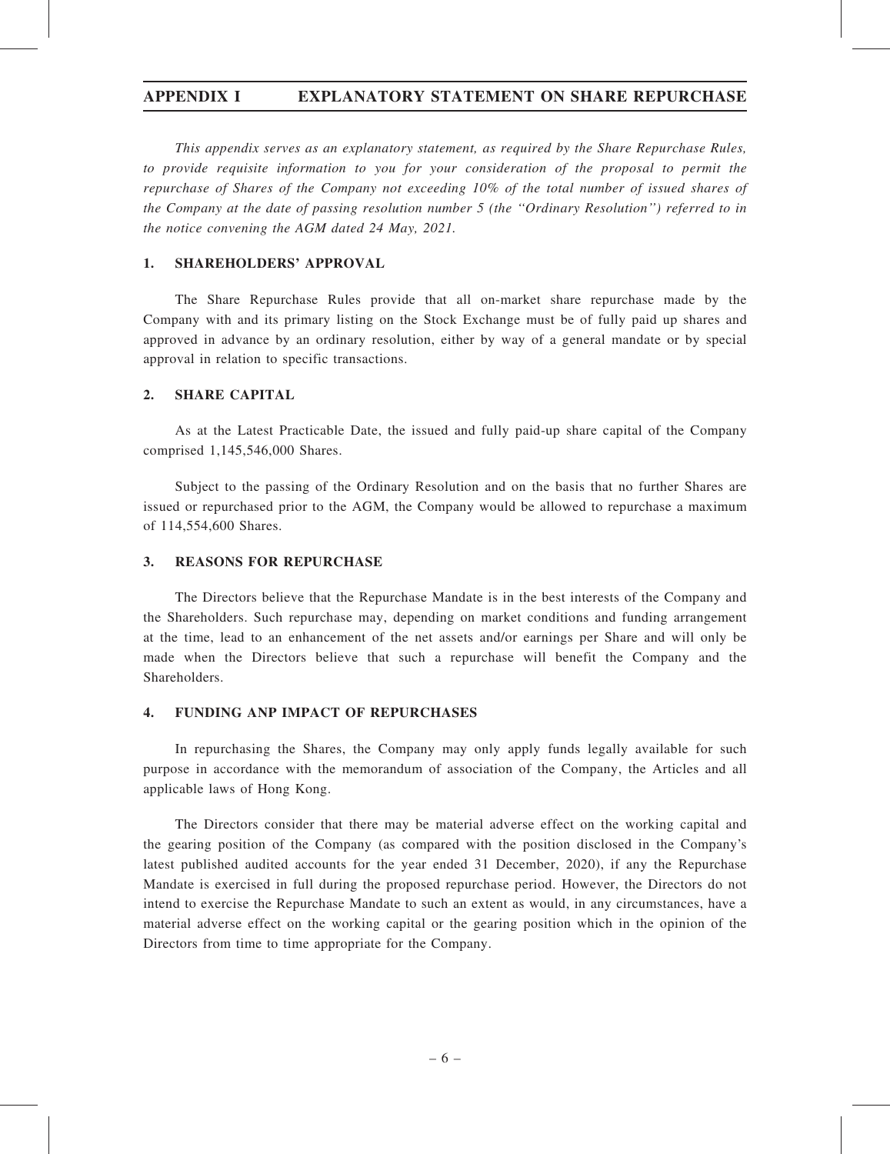# APPENDIX I EXPLANATORY STATEMENT ON SHARE REPURCHASE

This appendix serves as an explanatory statement, as required by the Share Repurchase Rules, to provide requisite information to you for your consideration of the proposal to permit the repurchase of Shares of the Company not exceeding 10% of the total number of issued shares of the Company at the date of passing resolution number 5 (the ''Ordinary Resolution'') referred to in the notice convening the AGM dated 24 May, 2021.

### 1. SHAREHOLDERS' APPROVAL

The Share Repurchase Rules provide that all on-market share repurchase made by the Company with and its primary listing on the Stock Exchange must be of fully paid up shares and approved in advance by an ordinary resolution, either by way of a general mandate or by special approval in relation to specific transactions.

#### 2. SHARE CAPITAL

As at the Latest Practicable Date, the issued and fully paid-up share capital of the Company comprised 1,145,546,000 Shares.

Subject to the passing of the Ordinary Resolution and on the basis that no further Shares are issued or repurchased prior to the AGM, the Company would be allowed to repurchase a maximum of 114,554,600 Shares.

#### 3. REASONS FOR REPURCHASE

The Directors believe that the Repurchase Mandate is in the best interests of the Company and the Shareholders. Such repurchase may, depending on market conditions and funding arrangement at the time, lead to an enhancement of the net assets and/or earnings per Share and will only be made when the Directors believe that such a repurchase will benefit the Company and the Shareholders.

#### 4. FUNDING ANP IMPACT OF REPURCHASES

In repurchasing the Shares, the Company may only apply funds legally available for such purpose in accordance with the memorandum of association of the Company, the Articles and all applicable laws of Hong Kong.

The Directors consider that there may be material adverse effect on the working capital and the gearing position of the Company (as compared with the position disclosed in the Company's latest published audited accounts for the year ended 31 December, 2020), if any the Repurchase Mandate is exercised in full during the proposed repurchase period. However, the Directors do not intend to exercise the Repurchase Mandate to such an extent as would, in any circumstances, have a material adverse effect on the working capital or the gearing position which in the opinion of the Directors from time to time appropriate for the Company.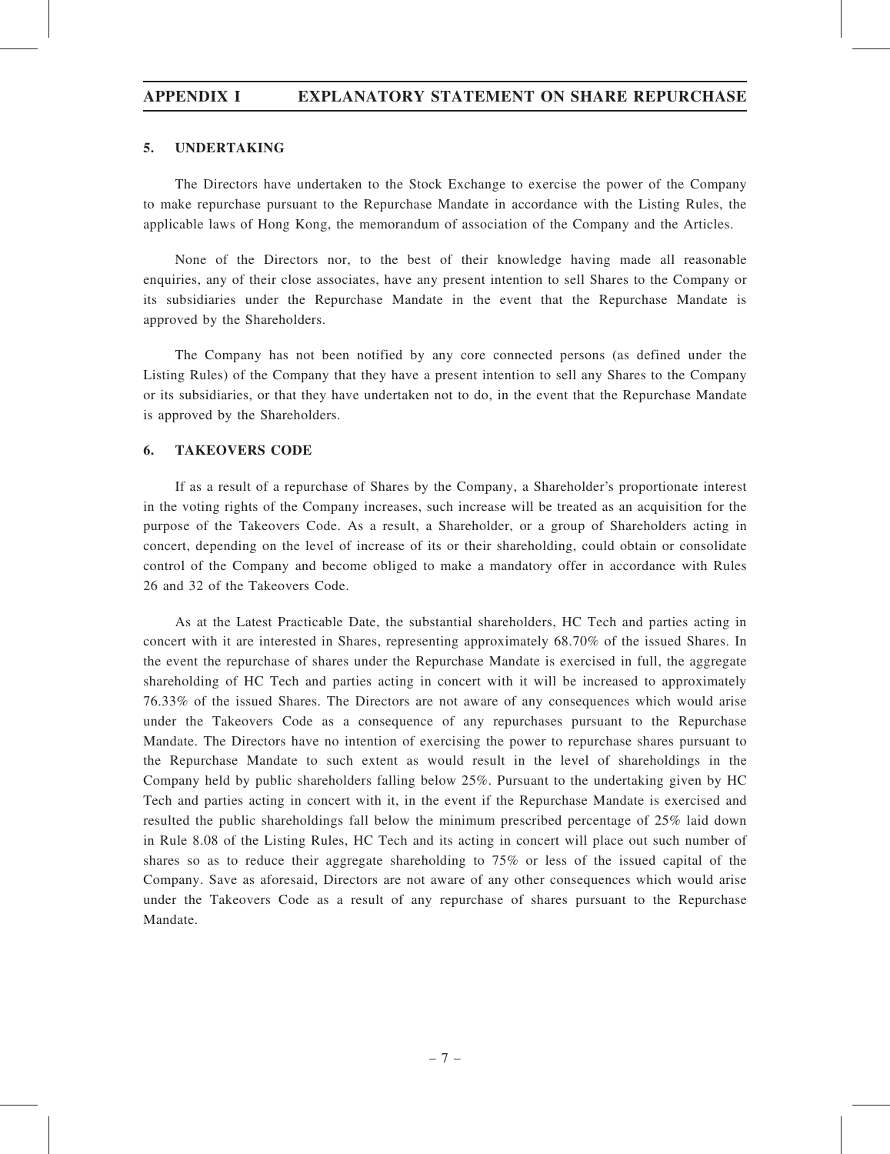# APPENDIX I EXPLANATORY STATEMENT ON SHARE REPURCHASE

### 5. UNDERTAKING

The Directors have undertaken to the Stock Exchange to exercise the power of the Company to make repurchase pursuant to the Repurchase Mandate in accordance with the Listing Rules, the applicable laws of Hong Kong, the memorandum of association of the Company and the Articles.

None of the Directors nor, to the best of their knowledge having made all reasonable enquiries, any of their close associates, have any present intention to sell Shares to the Company or its subsidiaries under the Repurchase Mandate in the event that the Repurchase Mandate is approved by the Shareholders.

The Company has not been notified by any core connected persons (as defined under the Listing Rules) of the Company that they have a present intention to sell any Shares to the Company or its subsidiaries, or that they have undertaken not to do, in the event that the Repurchase Mandate is approved by the Shareholders.

#### 6. TAKEOVERS CODE

If as a result of a repurchase of Shares by the Company, a Shareholder's proportionate interest in the voting rights of the Company increases, such increase will be treated as an acquisition for the purpose of the Takeovers Code. As a result, a Shareholder, or a group of Shareholders acting in concert, depending on the level of increase of its or their shareholding, could obtain or consolidate control of the Company and become obliged to make a mandatory offer in accordance with Rules 26 and 32 of the Takeovers Code.

As at the Latest Practicable Date, the substantial shareholders, HC Tech and parties acting in concert with it are interested in Shares, representing approximately 68.70% of the issued Shares. In the event the repurchase of shares under the Repurchase Mandate is exercised in full, the aggregate shareholding of HC Tech and parties acting in concert with it will be increased to approximately 76.33% of the issued Shares. The Directors are not aware of any consequences which would arise under the Takeovers Code as a consequence of any repurchases pursuant to the Repurchase Mandate. The Directors have no intention of exercising the power to repurchase shares pursuant to the Repurchase Mandate to such extent as would result in the level of shareholdings in the Company held by public shareholders falling below 25%. Pursuant to the undertaking given by HC Tech and parties acting in concert with it, in the event if the Repurchase Mandate is exercised and resulted the public shareholdings fall below the minimum prescribed percentage of 25% laid down in Rule 8.08 of the Listing Rules, HC Tech and its acting in concert will place out such number of shares so as to reduce their aggregate shareholding to 75% or less of the issued capital of the Company. Save as aforesaid, Directors are not aware of any other consequences which would arise under the Takeovers Code as a result of any repurchase of shares pursuant to the Repurchase Mandate.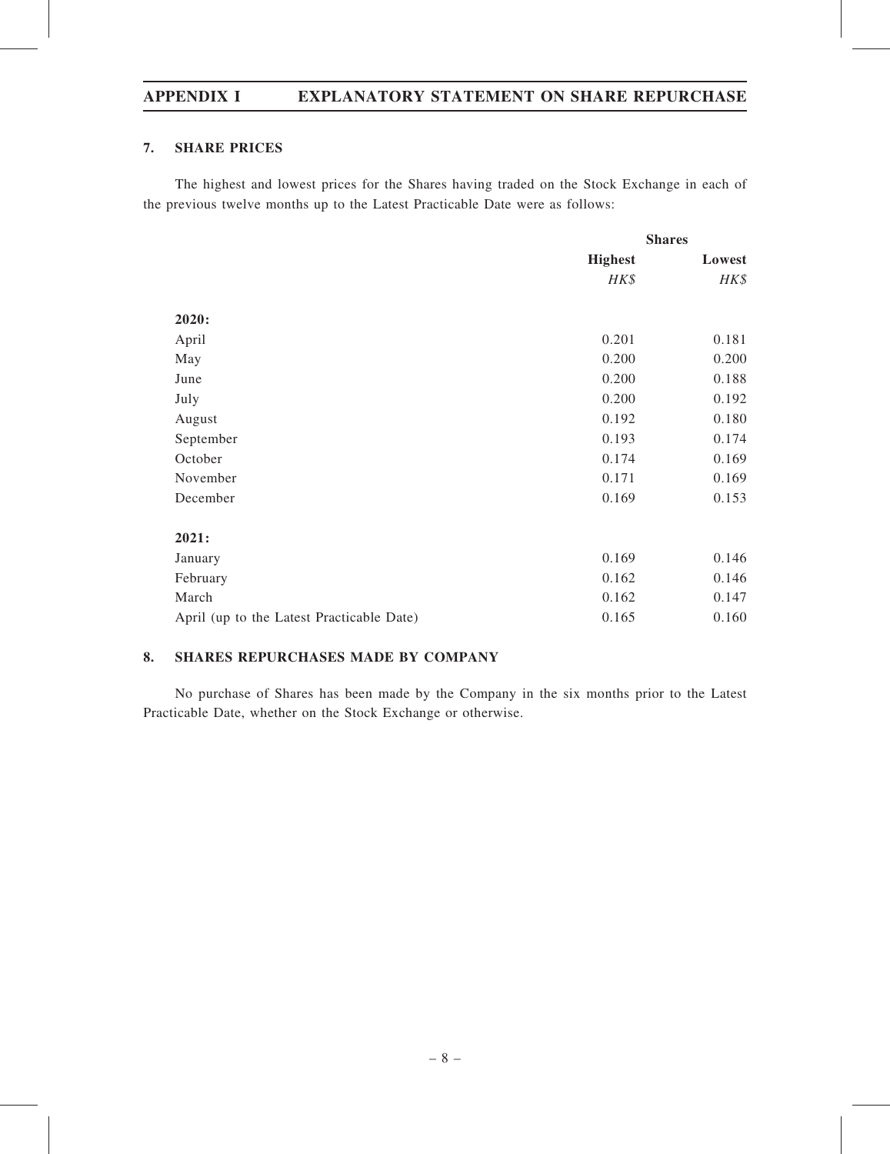# APPENDIX I EXPLANATORY STATEMENT ON SHARE REPURCHASE

## 7. SHARE PRICES

The highest and lowest prices for the Shares having traded on the Stock Exchange in each of the previous twelve months up to the Latest Practicable Date were as follows:

|                                           | <b>Shares</b>  |        |
|-------------------------------------------|----------------|--------|
|                                           | <b>Highest</b> | Lowest |
|                                           | HK\$           | HK\$   |
| 2020:                                     |                |        |
| April                                     | 0.201          | 0.181  |
| May                                       | 0.200          | 0.200  |
| June                                      | 0.200          | 0.188  |
| July                                      | 0.200          | 0.192  |
| August                                    | 0.192          | 0.180  |
| September                                 | 0.193          | 0.174  |
| October                                   | 0.174          | 0.169  |
| November                                  | 0.171          | 0.169  |
| December                                  | 0.169          | 0.153  |
| 2021:                                     |                |        |
| January                                   | 0.169          | 0.146  |
| February                                  | 0.162          | 0.146  |
| March                                     | 0.162          | 0.147  |
| April (up to the Latest Practicable Date) | 0.165          | 0.160  |

# 8. SHARES REPURCHASES MADE BY COMPANY

No purchase of Shares has been made by the Company in the six months prior to the Latest Practicable Date, whether on the Stock Exchange or otherwise.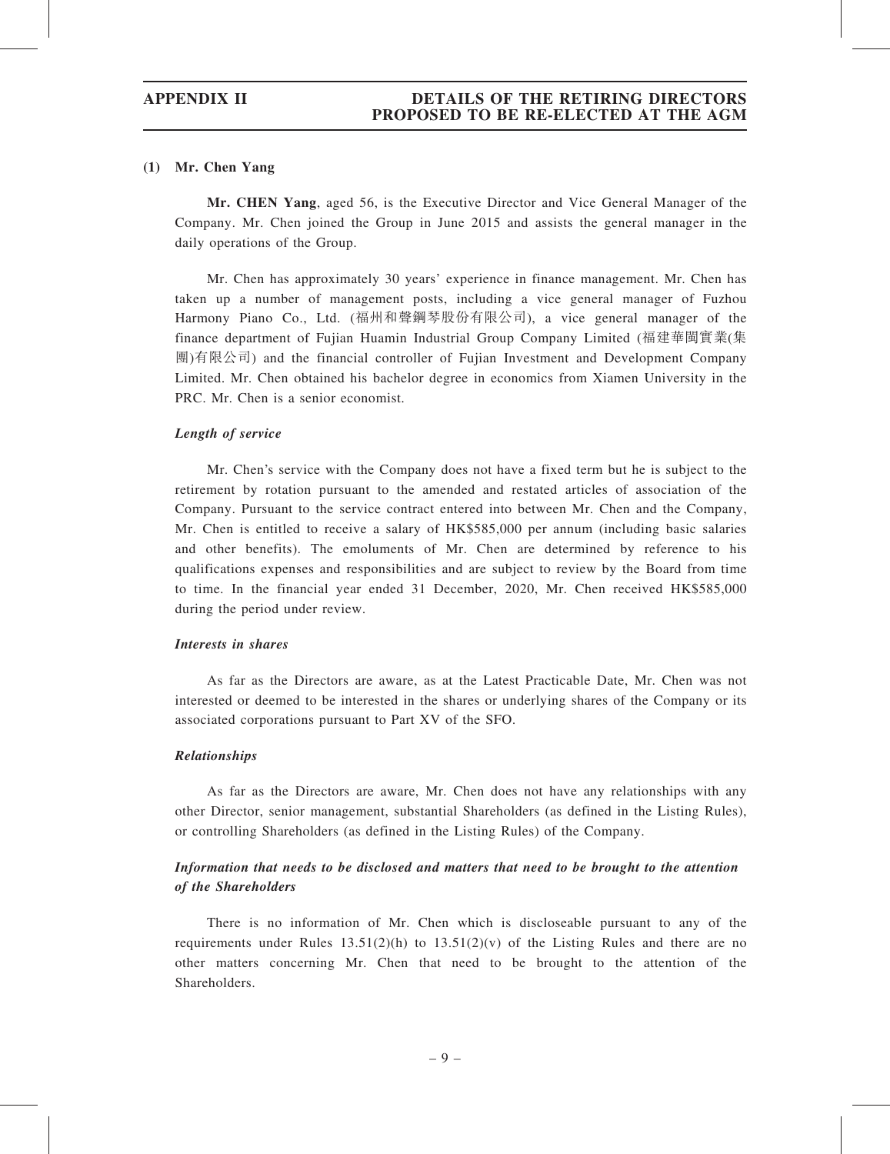#### (1) Mr. Chen Yang

Mr. CHEN Yang, aged 56, is the Executive Director and Vice General Manager of the Company. Mr. Chen joined the Group in June 2015 and assists the general manager in the daily operations of the Group.

Mr. Chen has approximately 30 years' experience in finance management. Mr. Chen has taken up a number of management posts, including a vice general manager of Fuzhou Harmony Piano Co., Ltd. (福州和聲鋼琴股份有限公司), a vice general manager of the finance department of Fujian Huamin Industrial Group Company Limited (福建華閩實業(集 團)有限公司) and the financial controller of Fujian Investment and Development Company Limited. Mr. Chen obtained his bachelor degree in economics from Xiamen University in the PRC. Mr. Chen is a senior economist.

#### Length of service

Mr. Chen's service with the Company does not have a fixed term but he is subject to the retirement by rotation pursuant to the amended and restated articles of association of the Company. Pursuant to the service contract entered into between Mr. Chen and the Company, Mr. Chen is entitled to receive a salary of HK\$585,000 per annum (including basic salaries and other benefits). The emoluments of Mr. Chen are determined by reference to his qualifications expenses and responsibilities and are subject to review by the Board from time to time. In the financial year ended 31 December, 2020, Mr. Chen received HK\$585,000 during the period under review.

#### Interests in shares

As far as the Directors are aware, as at the Latest Practicable Date, Mr. Chen was not interested or deemed to be interested in the shares or underlying shares of the Company or its associated corporations pursuant to Part XV of the SFO.

#### Relationships

As far as the Directors are aware, Mr. Chen does not have any relationships with any other Director, senior management, substantial Shareholders (as defined in the Listing Rules), or controlling Shareholders (as defined in the Listing Rules) of the Company.

# Information that needs to be disclosed and matters that need to be brought to the attention of the Shareholders

There is no information of Mr. Chen which is discloseable pursuant to any of the requirements under Rules  $13.51(2)(h)$  to  $13.51(2)(v)$  of the Listing Rules and there are no other matters concerning Mr. Chen that need to be brought to the attention of the Shareholders.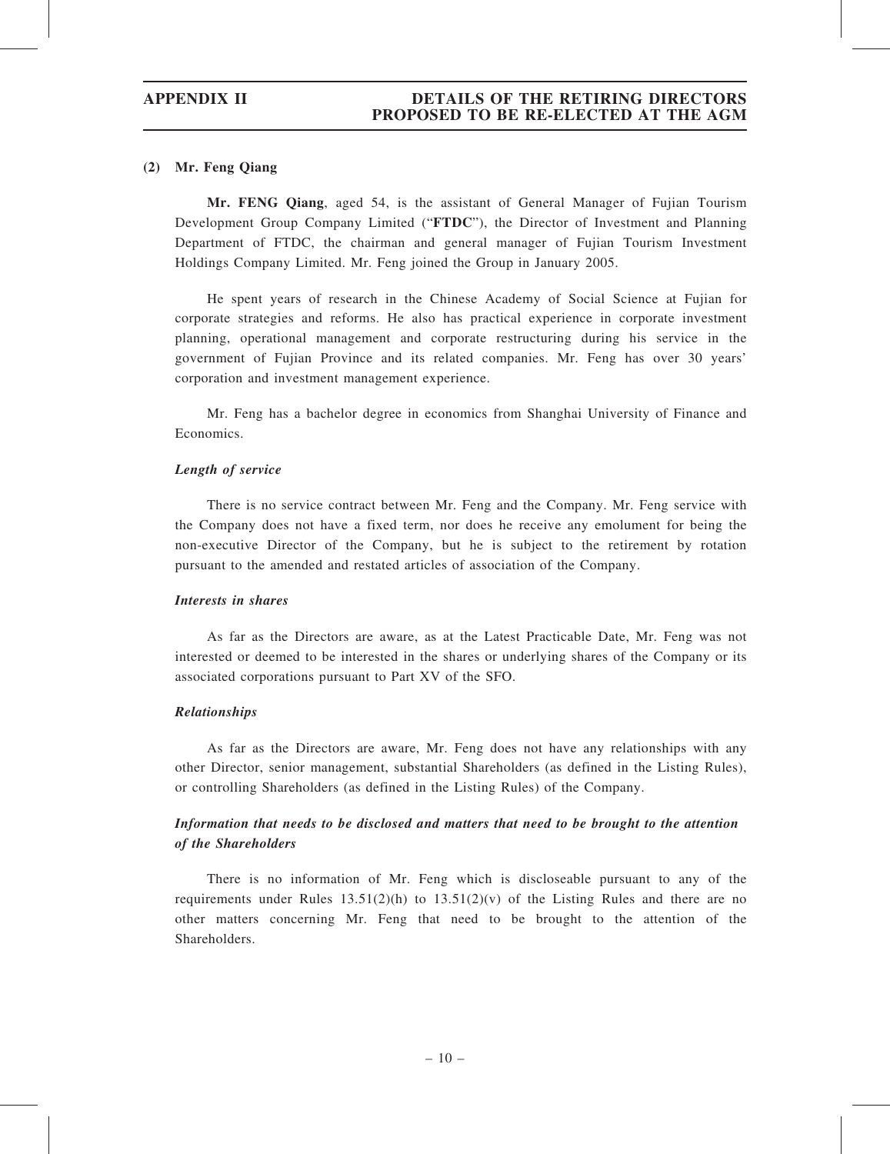#### (2) Mr. Feng Qiang

Mr. FENG Qiang, aged 54, is the assistant of General Manager of Fujian Tourism Development Group Company Limited ("FTDC"), the Director of Investment and Planning Department of FTDC, the chairman and general manager of Fujian Tourism Investment Holdings Company Limited. Mr. Feng joined the Group in January 2005.

He spent years of research in the Chinese Academy of Social Science at Fujian for corporate strategies and reforms. He also has practical experience in corporate investment planning, operational management and corporate restructuring during his service in the government of Fujian Province and its related companies. Mr. Feng has over 30 years' corporation and investment management experience.

Mr. Feng has a bachelor degree in economics from Shanghai University of Finance and Economics.

### Length of service

There is no service contract between Mr. Feng and the Company. Mr. Feng service with the Company does not have a fixed term, nor does he receive any emolument for being the non-executive Director of the Company, but he is subject to the retirement by rotation pursuant to the amended and restated articles of association of the Company.

#### Interests in shares

As far as the Directors are aware, as at the Latest Practicable Date, Mr. Feng was not interested or deemed to be interested in the shares or underlying shares of the Company or its associated corporations pursuant to Part XV of the SFO.

#### Relationships

As far as the Directors are aware, Mr. Feng does not have any relationships with any other Director, senior management, substantial Shareholders (as defined in the Listing Rules), or controlling Shareholders (as defined in the Listing Rules) of the Company.

# Information that needs to be disclosed and matters that need to be brought to the attention of the Shareholders

There is no information of Mr. Feng which is discloseable pursuant to any of the requirements under Rules  $13.51(2)(h)$  to  $13.51(2)(v)$  of the Listing Rules and there are no other matters concerning Mr. Feng that need to be brought to the attention of the Shareholders.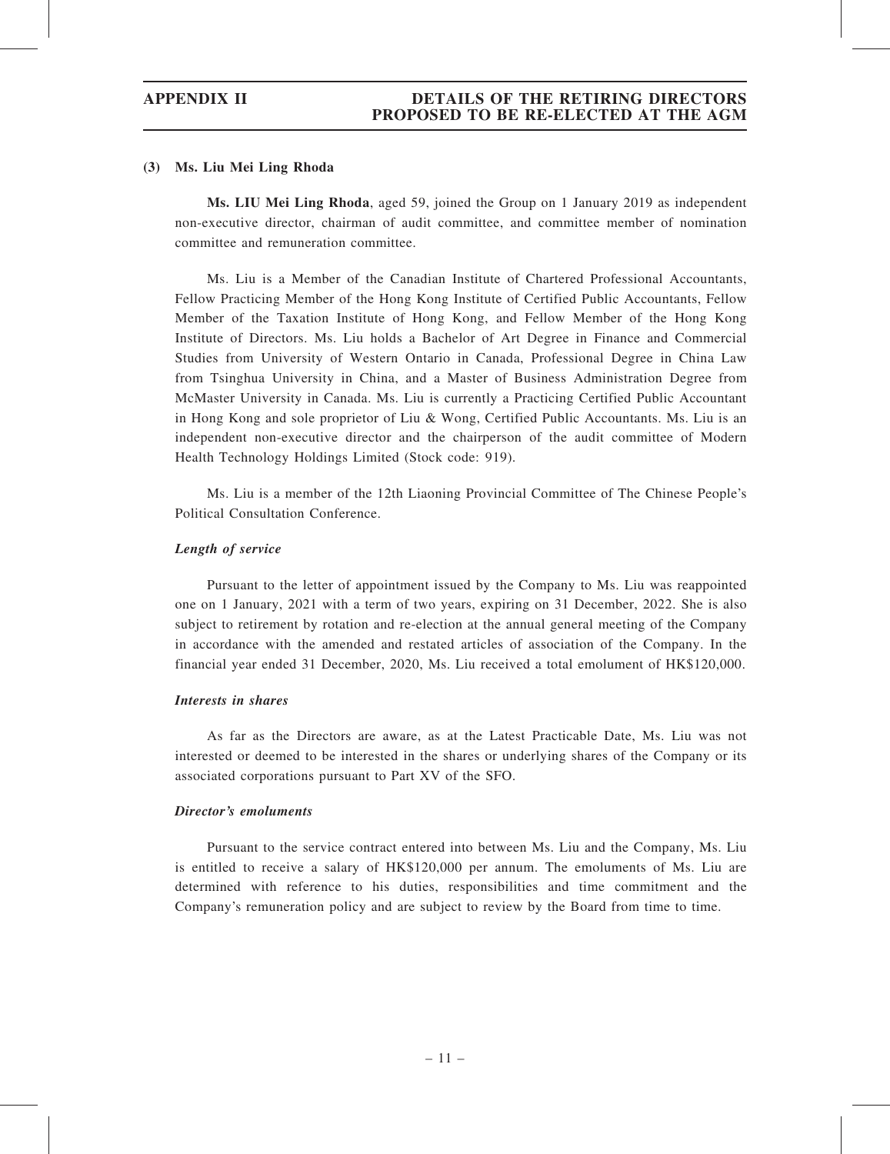#### (3) Ms. Liu Mei Ling Rhoda

Ms. LIU Mei Ling Rhoda, aged 59, joined the Group on 1 January 2019 as independent non-executive director, chairman of audit committee, and committee member of nomination committee and remuneration committee.

Ms. Liu is a Member of the Canadian Institute of Chartered Professional Accountants, Fellow Practicing Member of the Hong Kong Institute of Certified Public Accountants, Fellow Member of the Taxation Institute of Hong Kong, and Fellow Member of the Hong Kong Institute of Directors. Ms. Liu holds a Bachelor of Art Degree in Finance and Commercial Studies from University of Western Ontario in Canada, Professional Degree in China Law from Tsinghua University in China, and a Master of Business Administration Degree from McMaster University in Canada. Ms. Liu is currently a Practicing Certified Public Accountant in Hong Kong and sole proprietor of Liu & Wong, Certified Public Accountants. Ms. Liu is an independent non-executive director and the chairperson of the audit committee of Modern Health Technology Holdings Limited (Stock code: 919).

Ms. Liu is a member of the 12th Liaoning Provincial Committee of The Chinese People's Political Consultation Conference.

### Length of service

Pursuant to the letter of appointment issued by the Company to Ms. Liu was reappointed one on 1 January, 2021 with a term of two years, expiring on 31 December, 2022. She is also subject to retirement by rotation and re-election at the annual general meeting of the Company in accordance with the amended and restated articles of association of the Company. In the financial year ended 31 December, 2020, Ms. Liu received a total emolument of HK\$120,000.

#### Interests in shares

As far as the Directors are aware, as at the Latest Practicable Date, Ms. Liu was not interested or deemed to be interested in the shares or underlying shares of the Company or its associated corporations pursuant to Part XV of the SFO.

### Director's emoluments

Pursuant to the service contract entered into between Ms. Liu and the Company, Ms. Liu is entitled to receive a salary of HK\$120,000 per annum. The emoluments of Ms. Liu are determined with reference to his duties, responsibilities and time commitment and the Company's remuneration policy and are subject to review by the Board from time to time.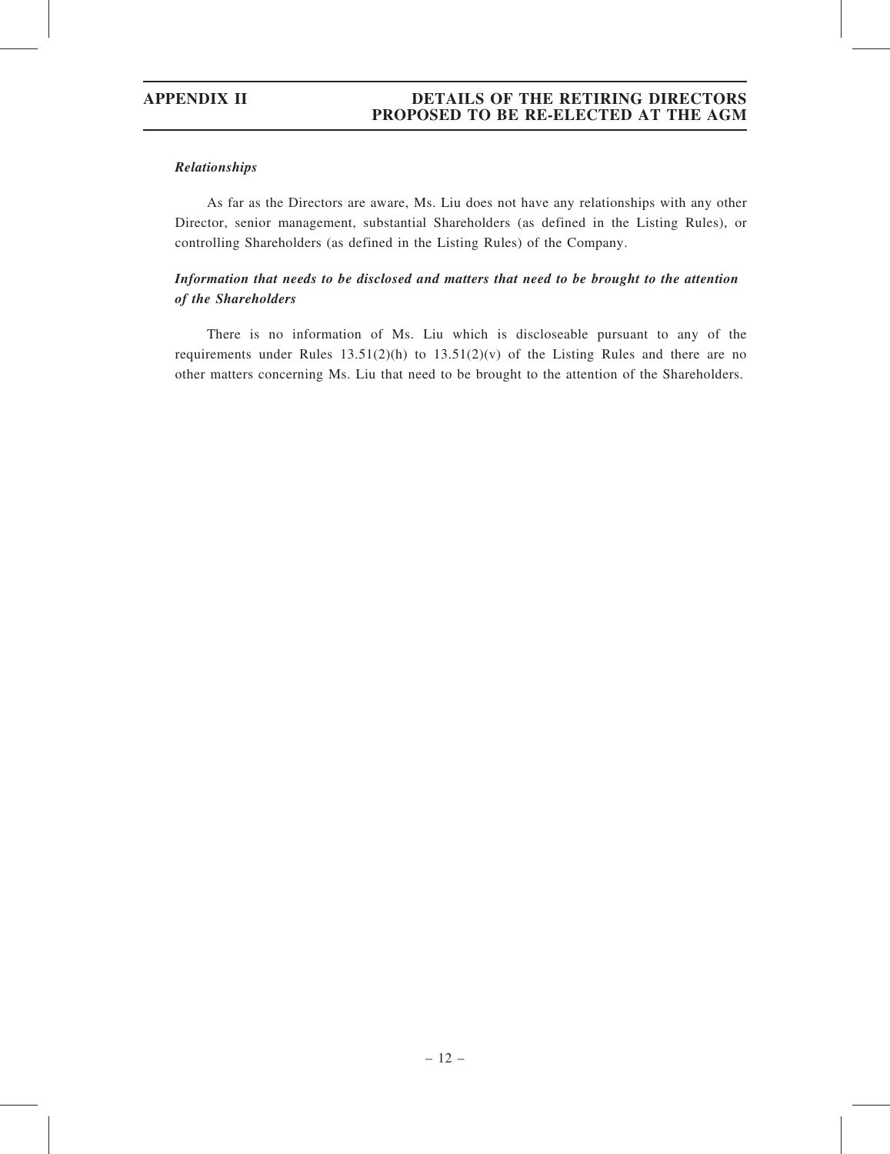### Relationships

As far as the Directors are aware, Ms. Liu does not have any relationships with any other Director, senior management, substantial Shareholders (as defined in the Listing Rules), or controlling Shareholders (as defined in the Listing Rules) of the Company.

# Information that needs to be disclosed and matters that need to be brought to the attention of the Shareholders

There is no information of Ms. Liu which is discloseable pursuant to any of the requirements under Rules  $13.51(2)(h)$  to  $13.51(2)(v)$  of the Listing Rules and there are no other matters concerning Ms. Liu that need to be brought to the attention of the Shareholders.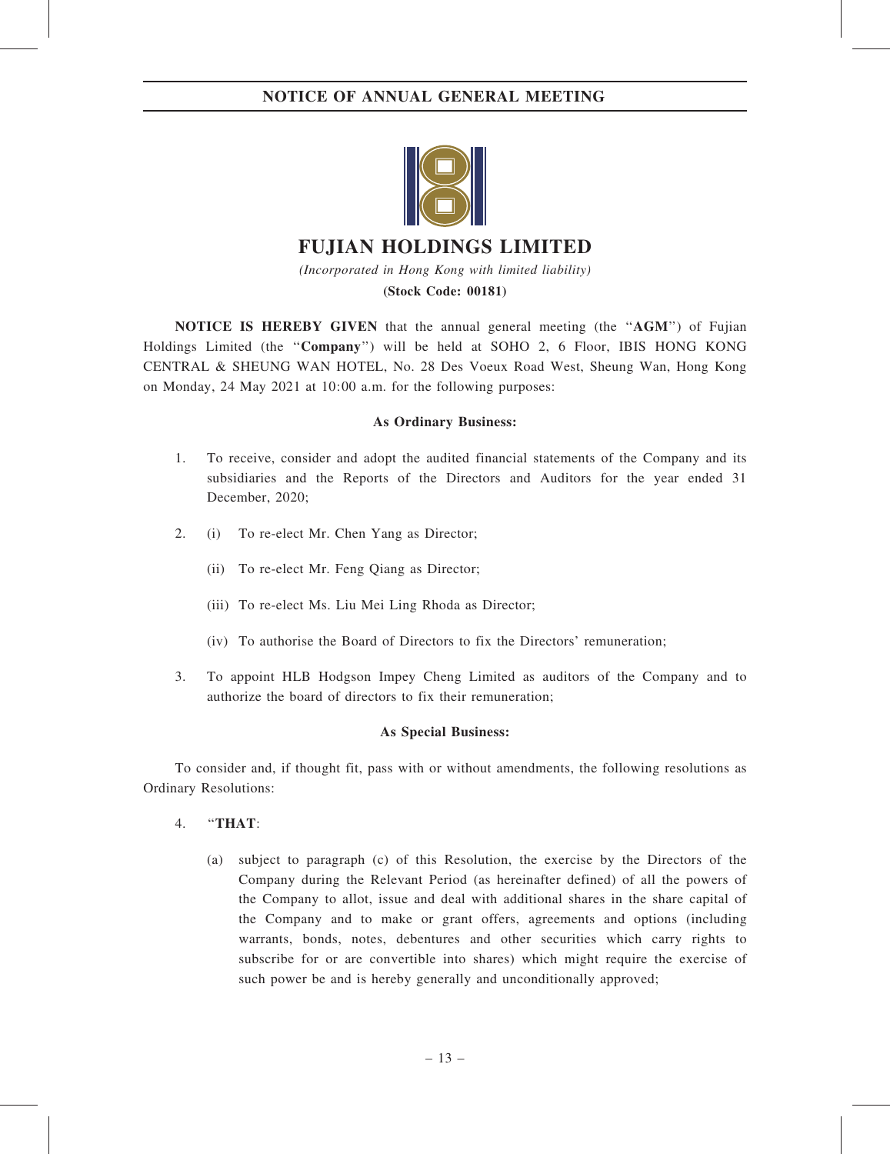

# FUJIAN HOLDINGS LIMITED

(Incorporated in Hong Kong with limited liability) (Stock Code: 00181)

NOTICE IS HEREBY GIVEN that the annual general meeting (the "AGM") of Fujian Holdings Limited (the ''Company'') will be held at SOHO 2, 6 Floor, IBIS HONG KONG CENTRAL & SHEUNG WAN HOTEL, No. 28 Des Voeux Road West, Sheung Wan, Hong Kong on Monday, 24 May 2021 at 10:00 a.m. for the following purposes:

# As Ordinary Business:

- 1. To receive, consider and adopt the audited financial statements of the Company and its subsidiaries and the Reports of the Directors and Auditors for the year ended 31 December, 2020;
- 2. (i) To re-elect Mr. Chen Yang as Director;
	- (ii) To re-elect Mr. Feng Qiang as Director;
	- (iii) To re-elect Ms. Liu Mei Ling Rhoda as Director;
	- (iv) To authorise the Board of Directors to fix the Directors' remuneration;
- 3. To appoint HLB Hodgson Impey Cheng Limited as auditors of the Company and to authorize the board of directors to fix their remuneration;

# As Special Business:

To consider and, if thought fit, pass with or without amendments, the following resolutions as Ordinary Resolutions:

- 4. ''THAT:
	- (a) subject to paragraph (c) of this Resolution, the exercise by the Directors of the Company during the Relevant Period (as hereinafter defined) of all the powers of the Company to allot, issue and deal with additional shares in the share capital of the Company and to make or grant offers, agreements and options (including warrants, bonds, notes, debentures and other securities which carry rights to subscribe for or are convertible into shares) which might require the exercise of such power be and is hereby generally and unconditionally approved;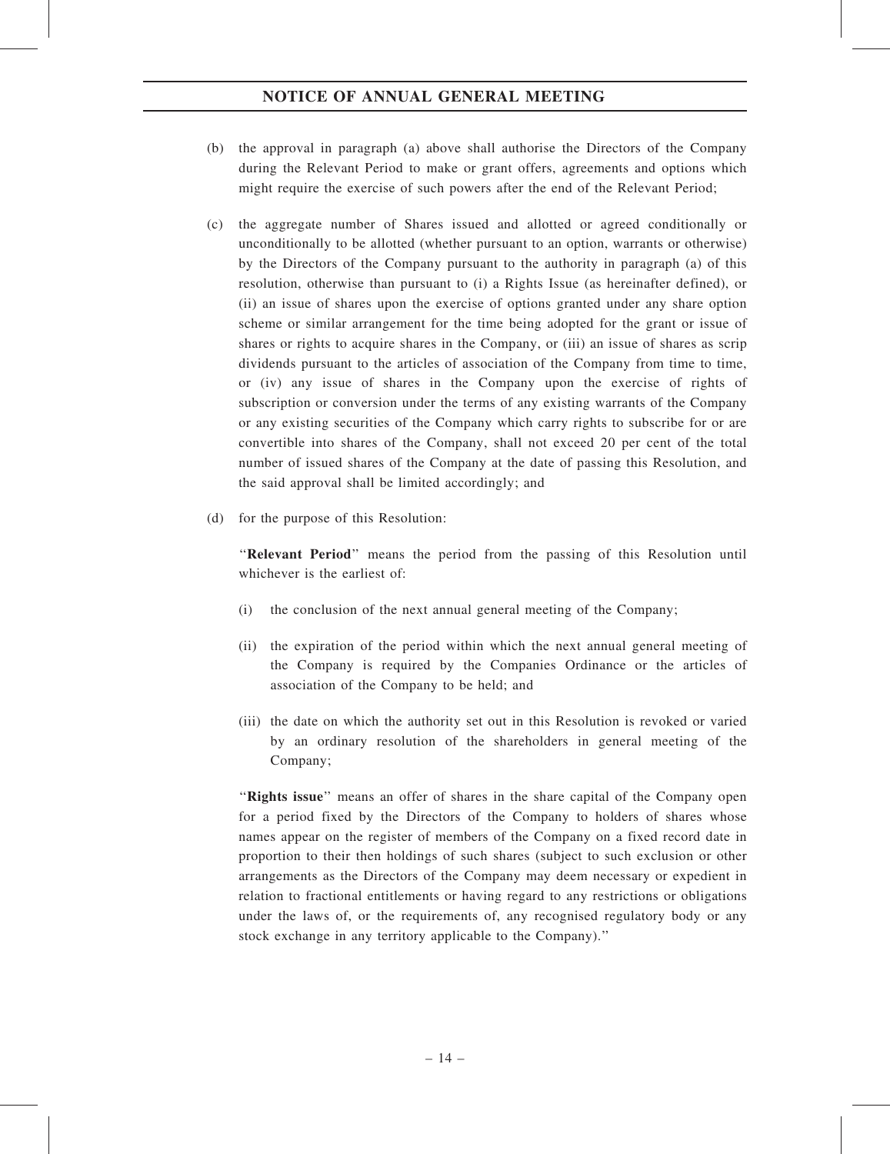# NOTICE OF ANNUAL GENERAL MEETING

- (b) the approval in paragraph (a) above shall authorise the Directors of the Company during the Relevant Period to make or grant offers, agreements and options which might require the exercise of such powers after the end of the Relevant Period;
- (c) the aggregate number of Shares issued and allotted or agreed conditionally or unconditionally to be allotted (whether pursuant to an option, warrants or otherwise) by the Directors of the Company pursuant to the authority in paragraph (a) of this resolution, otherwise than pursuant to (i) a Rights Issue (as hereinafter defined), or (ii) an issue of shares upon the exercise of options granted under any share option scheme or similar arrangement for the time being adopted for the grant or issue of shares or rights to acquire shares in the Company, or (iii) an issue of shares as scrip dividends pursuant to the articles of association of the Company from time to time, or (iv) any issue of shares in the Company upon the exercise of rights of subscription or conversion under the terms of any existing warrants of the Company or any existing securities of the Company which carry rights to subscribe for or are convertible into shares of the Company, shall not exceed 20 per cent of the total number of issued shares of the Company at the date of passing this Resolution, and the said approval shall be limited accordingly; and
- (d) for the purpose of this Resolution:

"Relevant Period" means the period from the passing of this Resolution until whichever is the earliest of:

- (i) the conclusion of the next annual general meeting of the Company;
- (ii) the expiration of the period within which the next annual general meeting of the Company is required by the Companies Ordinance or the articles of association of the Company to be held; and
- (iii) the date on which the authority set out in this Resolution is revoked or varied by an ordinary resolution of the shareholders in general meeting of the Company;

''Rights issue'' means an offer of shares in the share capital of the Company open for a period fixed by the Directors of the Company to holders of shares whose names appear on the register of members of the Company on a fixed record date in proportion to their then holdings of such shares (subject to such exclusion or other arrangements as the Directors of the Company may deem necessary or expedient in relation to fractional entitlements or having regard to any restrictions or obligations under the laws of, or the requirements of, any recognised regulatory body or any stock exchange in any territory applicable to the Company).''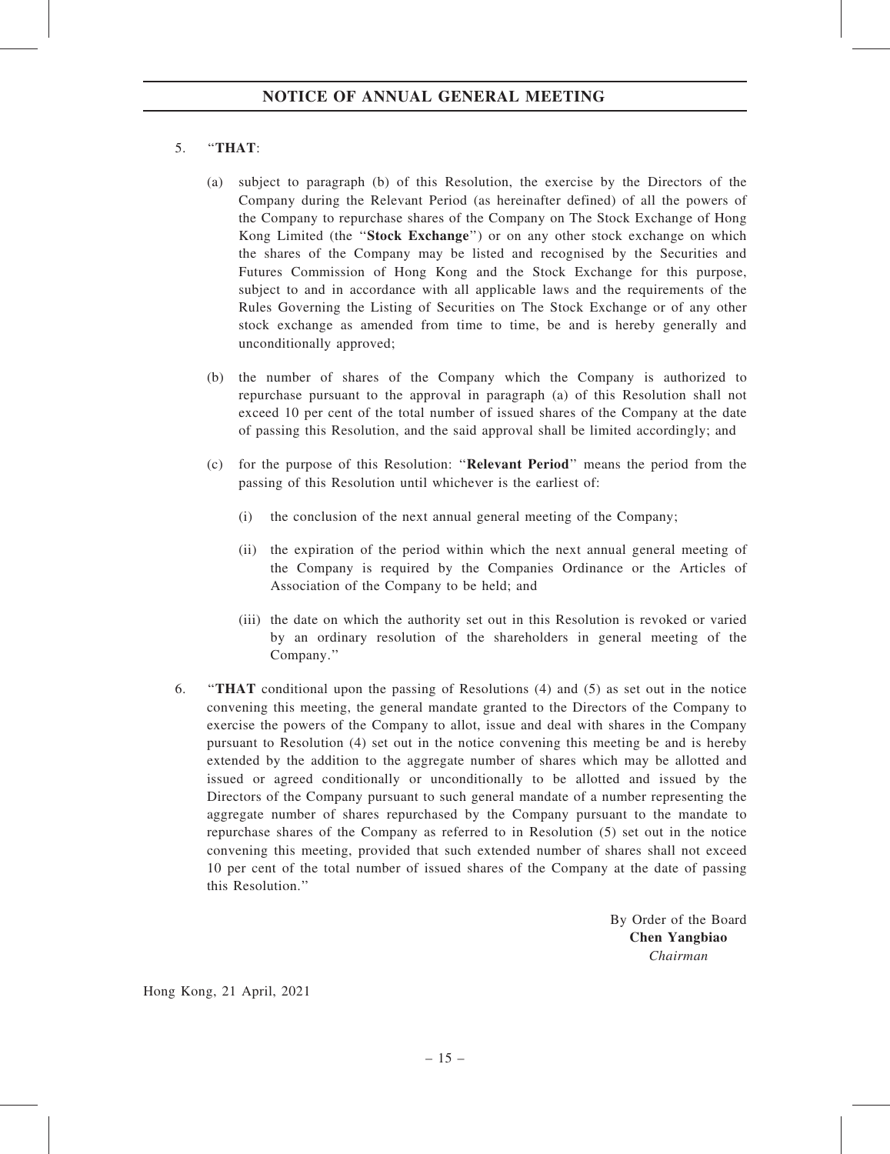# 5. ''THAT:

- (a) subject to paragraph (b) of this Resolution, the exercise by the Directors of the Company during the Relevant Period (as hereinafter defined) of all the powers of the Company to repurchase shares of the Company on The Stock Exchange of Hong Kong Limited (the "Stock Exchange") or on any other stock exchange on which the shares of the Company may be listed and recognised by the Securities and Futures Commission of Hong Kong and the Stock Exchange for this purpose, subject to and in accordance with all applicable laws and the requirements of the Rules Governing the Listing of Securities on The Stock Exchange or of any other stock exchange as amended from time to time, be and is hereby generally and unconditionally approved;
- (b) the number of shares of the Company which the Company is authorized to repurchase pursuant to the approval in paragraph (a) of this Resolution shall not exceed 10 per cent of the total number of issued shares of the Company at the date of passing this Resolution, and the said approval shall be limited accordingly; and
- (c) for the purpose of this Resolution: ''Relevant Period'' means the period from the passing of this Resolution until whichever is the earliest of:
	- (i) the conclusion of the next annual general meeting of the Company;
	- (ii) the expiration of the period within which the next annual general meeting of the Company is required by the Companies Ordinance or the Articles of Association of the Company to be held; and
	- (iii) the date on which the authority set out in this Resolution is revoked or varied by an ordinary resolution of the shareholders in general meeting of the Company.''
- 6. ''THAT conditional upon the passing of Resolutions (4) and (5) as set out in the notice convening this meeting, the general mandate granted to the Directors of the Company to exercise the powers of the Company to allot, issue and deal with shares in the Company pursuant to Resolution (4) set out in the notice convening this meeting be and is hereby extended by the addition to the aggregate number of shares which may be allotted and issued or agreed conditionally or unconditionally to be allotted and issued by the Directors of the Company pursuant to such general mandate of a number representing the aggregate number of shares repurchased by the Company pursuant to the mandate to repurchase shares of the Company as referred to in Resolution (5) set out in the notice convening this meeting, provided that such extended number of shares shall not exceed 10 per cent of the total number of issued shares of the Company at the date of passing this Resolution.''

By Order of the Board Chen Yangbiao Chairman

Hong Kong, 21 April, 2021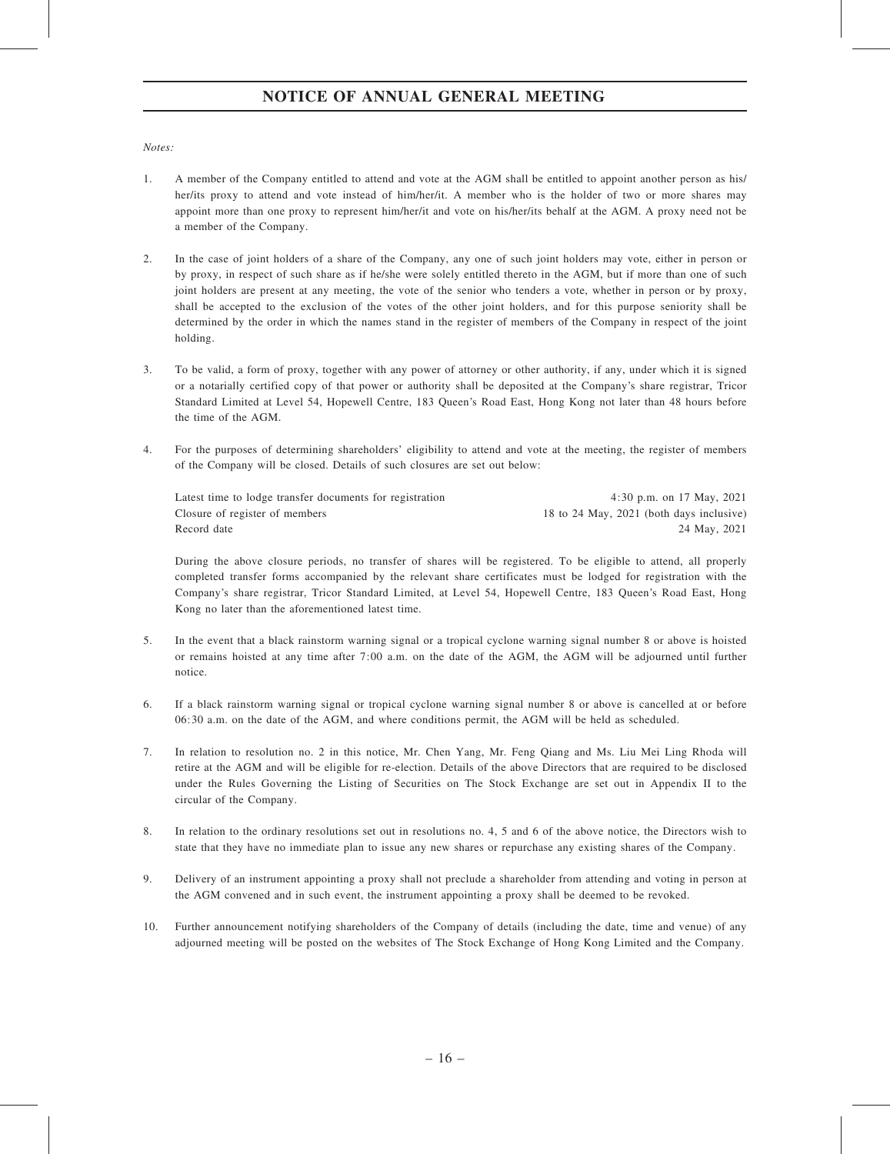# NOTICE OF ANNUAL GENERAL MEETING

#### Notes:

- 1. A member of the Company entitled to attend and vote at the AGM shall be entitled to appoint another person as his/ her/its proxy to attend and vote instead of him/her/it. A member who is the holder of two or more shares may appoint more than one proxy to represent him/her/it and vote on his/her/its behalf at the AGM. A proxy need not be a member of the Company.
- 2. In the case of joint holders of a share of the Company, any one of such joint holders may vote, either in person or by proxy, in respect of such share as if he/she were solely entitled thereto in the AGM, but if more than one of such joint holders are present at any meeting, the vote of the senior who tenders a vote, whether in person or by proxy, shall be accepted to the exclusion of the votes of the other joint holders, and for this purpose seniority shall be determined by the order in which the names stand in the register of members of the Company in respect of the joint holding.
- 3. To be valid, a form of proxy, together with any power of attorney or other authority, if any, under which it is signed or a notarially certified copy of that power or authority shall be deposited at the Company's share registrar, Tricor Standard Limited at Level 54, Hopewell Centre, 183 Queen's Road East, Hong Kong not later than 48 hours before the time of the AGM.
- 4. For the purposes of determining shareholders' eligibility to attend and vote at the meeting, the register of members of the Company will be closed. Details of such closures are set out below:

| Latest time to lodge transfer documents for registration | 4:30 p.m. on 17 May, $2021$              |
|----------------------------------------------------------|------------------------------------------|
| Closure of register of members                           | 18 to 24 May, 2021 (both days inclusive) |
| Record date                                              | 24 May, 2021                             |

During the above closure periods, no transfer of shares will be registered. To be eligible to attend, all properly completed transfer forms accompanied by the relevant share certificates must be lodged for registration with the Company's share registrar, Tricor Standard Limited, at Level 54, Hopewell Centre, 183 Queen's Road East, Hong Kong no later than the aforementioned latest time.

- 5. In the event that a black rainstorm warning signal or a tropical cyclone warning signal number 8 or above is hoisted or remains hoisted at any time after 7:00 a.m. on the date of the AGM, the AGM will be adjourned until further notice.
- 6. If a black rainstorm warning signal or tropical cyclone warning signal number 8 or above is cancelled at or before 06:30 a.m. on the date of the AGM, and where conditions permit, the AGM will be held as scheduled.
- 7. In relation to resolution no. 2 in this notice, Mr. Chen Yang, Mr. Feng Qiang and Ms. Liu Mei Ling Rhoda will retire at the AGM and will be eligible for re-election. Details of the above Directors that are required to be disclosed under the Rules Governing the Listing of Securities on The Stock Exchange are set out in Appendix II to the circular of the Company.
- 8. In relation to the ordinary resolutions set out in resolutions no. 4, 5 and 6 of the above notice, the Directors wish to state that they have no immediate plan to issue any new shares or repurchase any existing shares of the Company.
- 9. Delivery of an instrument appointing a proxy shall not preclude a shareholder from attending and voting in person at the AGM convened and in such event, the instrument appointing a proxy shall be deemed to be revoked.
- 10. Further announcement notifying shareholders of the Company of details (including the date, time and venue) of any adjourned meeting will be posted on the websites of The Stock Exchange of Hong Kong Limited and the Company.